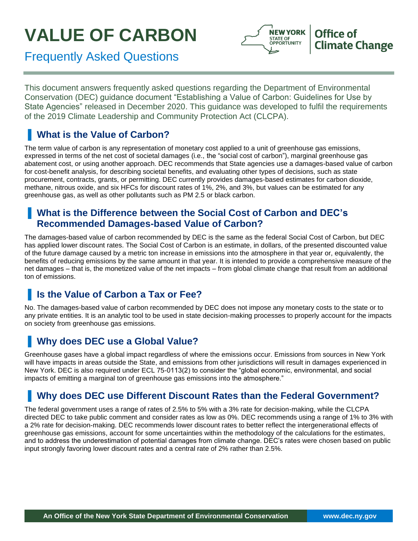# **VALUE OF CARBON**



Frequently Asked Questions

This document answers frequently asked questions regarding the Department of Environmental Conservation (DEC) guidance document "Establishing a Value of Carbon: Guidelines for Use by State Agencies" released in December 2020. This guidance was developed to fulfil the requirements of the 2019 Climate Leadership and Community Protection Act (CLCPA).

# **What is the Value of Carbon?**

The term value of carbon is any representation of monetary cost applied to a unit of greenhouse gas emissions, expressed in terms of the net cost of societal damages (i.e., the "social cost of carbon"), marginal greenhouse gas abatement cost, or using another approach. DEC recommends that State agencies use a damages-based value of carbon for cost-benefit analysis, for describing societal benefits, and evaluating other types of decisions, such as state procurement, contracts, grants, or permitting. DEC currently provides damages-based estimates for carbon dioxide, methane, nitrous oxide, and six HFCs for discount rates of 1%, 2%, and 3%, but values can be estimated for any greenhouse gas, as well as other pollutants such as PM 2.5 or black carbon.

#### ▐ **What is the Difference between the Social Cost of Carbon and DEC's Recommended Damages-based Value of Carbon?**

The damages-based value of carbon recommended by DEC is the same as the federal Social Cost of Carbon, but DEC has applied lower discount rates. The Social Cost of Carbon is an estimate, in dollars, of the presented discounted value of the future damage caused by a metric ton increase in emissions into the atmosphere in that year or, equivalently, the benefits of reducing emissions by the same amount in that year. It is intended to provide a comprehensive measure of the net damages – that is, the monetized value of the net impacts – from global climate change that result from an additional ton of emissions.

# **Is the Value of Carbon a Tax or Fee?**

No. The damages-based value of carbon recommended by DEC does not impose any monetary costs to the state or to any private entities. It is an analytic tool to be used in state decision-making processes to properly account for the impacts on society from greenhouse gas emissions.

# **Why does DEC use a Global Value?**

Greenhouse gases have a global impact regardless of where the emissions occur. Emissions from sources in New York will have impacts in areas outside the State, and emissions from other jurisdictions will result in damages experienced in New York. DEC is also required under ECL 75-0113(2) to consider the "global economic, environmental, and social impacts of emitting a marginal ton of greenhouse gas emissions into the atmosphere."

# **Why does DEC use Different Discount Rates than the Federal Government?**

The federal government uses a range of rates of 2.5% to 5% with a 3% rate for decision-making, while the CLCPA directed DEC to take public comment and consider rates as low as 0%. DEC recommends using a range of 1% to 3% with a 2% rate for decision-making. DEC recommends lower discount rates to better reflect the intergenerational effects of greenhouse gas emissions, account for some uncertainties within the methodology of the calculations for the estimates, and to address the underestimation of potential damages from climate change. DEC's rates were chosen based on public input strongly favoring lower discount rates and a central rate of 2% rather than 2.5%.